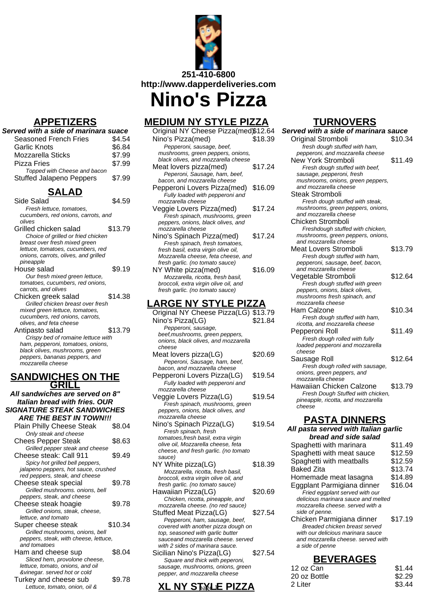

# **APPETIZERS**

| APPEIIZERƏ                                                         |         |
|--------------------------------------------------------------------|---------|
| Served with a side of marinara suace                               |         |
| <b>Seasoned French Fries</b>                                       | \$4.54  |
| Garlic Knots                                                       | \$6.84  |
| Mozzarella Sticks                                                  | \$7.99  |
| Pizza Fries                                                        | \$7.99  |
| Topped with Cheese and bacon                                       |         |
| <b>Stuffed Jalapeno Peppers</b>                                    | \$7.99  |
| <u>SALAD</u>                                                       |         |
| Side Salad                                                         | \$4.59  |
| Fresh lettuce, tomatoes,                                           |         |
| cucumbers, red onions, carrots, and                                |         |
| olives                                                             |         |
| Grilled chicken salad                                              | \$13.79 |
| Choice of grilled or fried chicken                                 |         |
| breast over fresh mixed green<br>lettuce, tomatoes, cucumbers, red |         |
| onions, carrots, olives, and grilled                               |         |
| pineapple                                                          |         |
| House salad                                                        | \$9.19  |
| Our fresh mixed green lettuce,                                     |         |
| tomatoes, cucumbers, red onions,                                   |         |
| carrots, and olives                                                |         |
| Chicken greek salad                                                | \$14.38 |
| Grilled chicken breast over fresh                                  |         |
| mixed green lettuce, tomatoes,                                     |         |
| cucumbers, red onions, carrots,                                    |         |
| olives, and feta cheese<br>Antipasto salad                         | \$13.79 |
| Crispy bed of romaine lettuce with                                 |         |
| ham, pepperoni, tomatoes, onions,                                  |         |
| black olives, mushrooms, green                                     |         |
| peppers, bananas peppers, and                                      |         |
| mozzarella cheese                                                  |         |

### **SANDWICHES ON THE GRILL**

| All sandwiches are served on 8"                                          |         |
|--------------------------------------------------------------------------|---------|
| <b>Italian bread with fries. OUR</b>                                     |         |
| <b>SIGNATURE STEAK SANDWICHES</b>                                        |         |
| <b>ARE THE BEST IN TOWN!!!</b>                                           |         |
| Plain Philly Cheese Steak                                                | \$8.04  |
| Only steak and cheese                                                    |         |
| <b>Chees Pepper Steak</b>                                                | \$8.63  |
| Grilled pepper steak and cheese                                          |         |
| Cheese steak: Call 911                                                   | \$9.49  |
| Spicy hot grilled bell peppers,                                          |         |
| jalapeno peppers, hot sauce, crushed                                     |         |
| red peppers, steak, and cheese                                           |         |
| Cheese steak special                                                     | \$9.78  |
| Grilled mushrooms. onions, bell                                          |         |
| peppers, steak, and cheese                                               |         |
| Cheese steak hoagie                                                      | \$9.78  |
| Grilled onions, steak, cheese,                                           |         |
| lettuce, and tomato                                                      |         |
| Super cheese steak                                                       | \$10.34 |
| Grilled mushrooms, onions, bell<br>peppers, steak, with cheese, lettuce, |         |
| and tomatoes                                                             |         |
| Ham and cheese sup                                                       | \$8.04  |
| Sliced hem, provolone cheese,                                            |         |
| lettuce, tomato, onions, and oil                                         |         |
| &vinegar. served hot or cold                                             |         |
| Turkey and cheese sub                                                    | \$9.78  |
| Lettuce, tomato, onion, oil &                                            |         |

# **MEDIUM NY STYLE PIZZA**

| , , , , ,                                                      |         |
|----------------------------------------------------------------|---------|
| Original NY Cheese Pizza(med)\$12.64                           |         |
| Nino's Pizza(med)                                              | \$18.39 |
| Pepperoni, sausage, beef,                                      |         |
| mushrooms, green peppers, onions,                              |         |
| black olives, and mozzarella cheese                            |         |
| Meat lovers pizza(med)                                         | \$17.24 |
| Peperoni, Sausage, ham, beef,                                  |         |
| bacon, and mozzarella cheese                                   | \$16.09 |
| Pepperoni Lovers Pizza(med)<br>Fully loaded with pepperoni and |         |
| mozzarella cheese                                              |         |
| Veggie Lovers Pizza(med)                                       | \$17.24 |
| Fresh spinach, mushrooms, green                                |         |
| peppers, onions, black olives, and                             |         |
| mozzarella cheese                                              |         |
| Nino's Spinach Pizza(med)                                      | \$17.24 |
| Fresh spinach, fresh tomatoes,                                 |         |
| fresh basil, extra virgin olive oil,                           |         |
| Mozzarella cheese, feta cheese, and                            |         |
| fresh garlic. (no tomato sauce)                                |         |
| NY White pizza(med)<br>Mozzarella, ricotta, fresh basil,       | \$16.09 |
| broccoli, extra virgin olive oil, and                          |         |
| fresh garlic. (no tomato sauce)                                |         |
|                                                                |         |
| GE NN                                                          |         |

#### **LARGE NY STYLE PIZZA**

| Original NY Cheese Pizza(LG) \$13.79  |         |
|---------------------------------------|---------|
| Nino's Pizza(LG)                      | \$21.84 |
| Pepperoni, sausage,                   |         |
| beef, mushrooms, green peppers,       |         |
| onions, black olives, and mozzarella  |         |
| cheese                                |         |
| Meat lovers pizza(LG)                 | \$20.69 |
| Peperoni, Sausage, ham, beef,         |         |
| bacon, and mozzarella cheese          |         |
| Pepperoni Lovers Pizza(LG)            | \$19.54 |
| Fully loaded with pepperoni and       |         |
| mozzarella cheese                     |         |
| Veggie Lovers Pizza(LG)               | \$19.54 |
| Fresh spinach, mushrooms, green       |         |
| peppers, onions, black olives, and    |         |
| mozzarella cheese                     |         |
| Nino's Spinach Pizza(LG)              | \$19.54 |
| Fresh spinach, fresh                  |         |
| tomatoes, fresh basil, extra virgin   |         |
| olive oil, Mozzarella cheese, feta    |         |
| cheese, and fresh garlic. (no tomato  |         |
| sauce)                                |         |
| NY White pizza(LG)                    | \$18.39 |
| Mozzarella, ricotta, fresh basil,     |         |
| broccoli, extra virgin olive oil, and |         |
| fresh garlic. (no tomato sauce)       |         |
| Hawaiian Pizza(LG)                    | \$20.69 |
| Chicken, ricotta, pineapple, and      |         |
| mozzarella cheese. (no red sauce)     |         |
| Stuffed Meat Pizza(LG)                | \$27.54 |
| Pepperoni, ham, sausage, beef,        |         |
| covered with another pizza dough on   |         |
| top, seasoned with garlic butter      |         |
| sauceand mozzarella cheese, served    |         |
| with 2 sides of marinara sauce.       |         |
| Sicilian Nino's Pizza(LG)             | \$27.54 |
| Square and thick with peperoni,       |         |
| sausage, mushrooms, onions, green     |         |
| pepper, and mozzarella cheese         |         |

## **XL NY STYLE PIZZA**<sup>2 Liter</sup>
<sup>2 Liter</sup>

<sup>33.44</sup>

## **TURNOVERS**

| Served with a side of marinara sauce                                    |         |
|-------------------------------------------------------------------------|---------|
| Original Stromboli                                                      | \$10.34 |
| fresh dough stuffed with ham,                                           |         |
| pepperoni, and mozzarella cheese                                        |         |
| <b>New York Stromboli</b>                                               | \$11.49 |
| Fresh dough stuffed with beef,                                          |         |
| sausage, pepperoni, fresh                                               |         |
| mushrooms, onions, green peppers,                                       |         |
| and mozzarella cheese                                                   |         |
| <b>Steak Stromboli</b>                                                  |         |
| Fresh dough stuffed with steak,                                         |         |
| mushrooms, green peppers, onions,<br>and mozzarella cheese              |         |
| <b>Chicken Stromboli</b>                                                |         |
| Freshdough stuffed with chicken,                                        |         |
| mushrooms, green peppers, onions,                                       |         |
| and mozzarella cheese                                                   |         |
| Meat Lovers Stromboli                                                   | \$13.79 |
| Fresh dough stuffed with ham,                                           |         |
| pepperoni, sausage, beef, bacon,                                        |         |
| and mozzarella cheese                                                   |         |
| Vegetable Stromboli                                                     | \$12.64 |
| Fresh dough stuffed with green                                          |         |
| peppers, onions, black olives,                                          |         |
| mushrooms fresh spinach, and<br>mozzarella cheese                       |         |
| Ham Calzone                                                             | \$10.34 |
| Fresh dough stuffed with ham,                                           |         |
| ricotta, and mozzarella cheese                                          |         |
| Pepperoni Roll                                                          | \$11.49 |
| Fresh dough rolled with fully                                           |         |
| loaded pepperoni and mozzarella                                         |         |
| cheese                                                                  |         |
| Sausage Roll                                                            | \$12.64 |
| Fresh dough rolled with sausage,                                        |         |
| onions, green peppers, and                                              |         |
| mozzarella cheese                                                       | \$13.79 |
| Hawaiian Chicken Calzone                                                |         |
| Fresh Dough Stuffed with chicken,<br>pineapple, ricotta, and mozzarella |         |
| cheese                                                                  |         |
|                                                                         |         |
| <u>PASTA DINNERS</u>                                                    |         |
| All pasta served with Italian garlic                                    |         |
| bread and side salad                                                    |         |
| Spaghetti with marinara                                                 | \$11.49 |
| Spaghetti with meat sauce                                               | \$12.59 |
| Spaghetti with meatballs                                                | \$12.59 |
| <b>Baked Zita</b>                                                       | \$13.74 |
| Homemade meat lasagna                                                   | \$14.89 |
|                                                                         | \$16.04 |
| Eggplant Parmigiana dinner<br>Fried eggplant served with our            |         |
| delicious marinara sauce and melted                                     |         |
| mozzarella cheese, served with a                                        |         |
| side of penne.                                                          |         |
| Chicken Parmigiana dinner                                               | \$17.19 |
| Breaded chicken breast served                                           |         |
| with our delicious marinara sauce                                       |         |
| and mozzarella cheese. served with                                      |         |

#### **BEVERAGES**  $12 oz$

a side of penne

| 12 oz Can    | \$1.44 |
|--------------|--------|
| 20 oz Bottle | \$2.29 |
| 2 Liter      | \$3.44 |